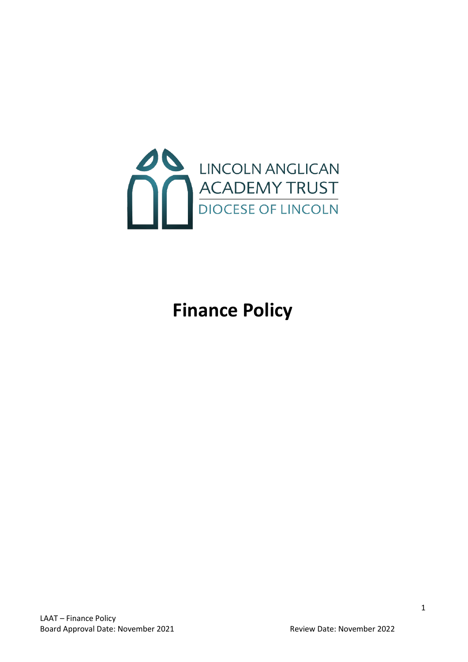

# **Finance Policy**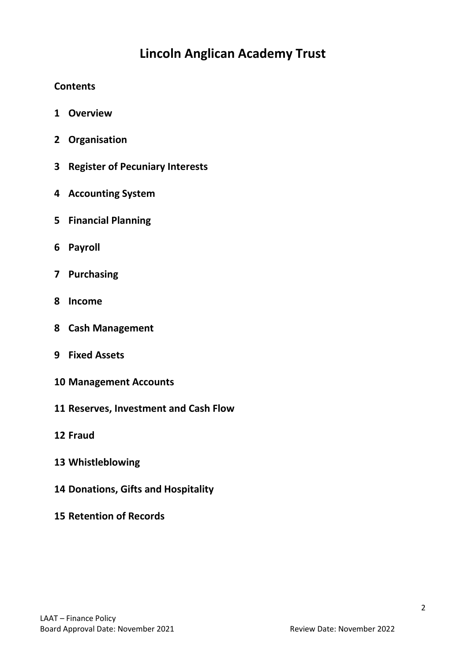## **Lincoln Anglican Academy Trust**

## **Contents**

- **Overview**
- **2 Organisation**
- **Register of Pecuniary Interests**
- **Accounting System**
- **Financial Planning**
- **Payroll**
- **Purchasing**
- **Income**
- **Cash Management**
- **Fixed Assets**
- **Management Accounts**
- **Reserves, Investment and Cash Flow**
- **Fraud**
- **Whistleblowing**
- **Donations, Gifts and Hospitality**
- **Retention of Records**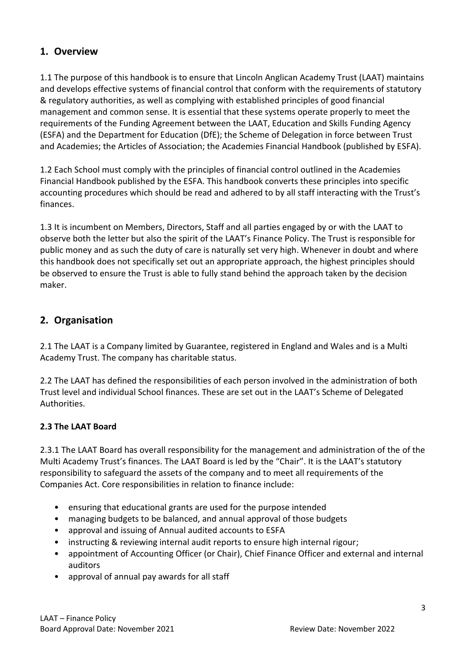## **1. Overview**

1.1 The purpose of this handbook is to ensure that Lincoln Anglican Academy Trust (LAAT) maintains and develops effective systems of financial control that conform with the requirements of statutory & regulatory authorities, as well as complying with established principles of good financial management and common sense. It is essential that these systems operate properly to meet the requirements of the Funding Agreement between the LAAT, Education and Skills Funding Agency (ESFA) and the Department for Education (DfE); the Scheme of Delegation in force between Trust and Academies; the Articles of Association; the Academies Financial Handbook (published by ESFA).

1.2 Each School must comply with the principles of financial control outlined in the Academies Financial Handbook published by the ESFA. This handbook converts these principles into specific accounting procedures which should be read and adhered to by all staff interacting with the Trust's finances.

1.3 It is incumbent on Members, Directors, Staff and all parties engaged by or with the LAAT to observe both the letter but also the spirit of the LAAT's Finance Policy. The Trust is responsible for public money and as such the duty of care is naturally set very high. Whenever in doubt and where this handbook does not specifically set out an appropriate approach, the highest principles should be observed to ensure the Trust is able to fully stand behind the approach taken by the decision maker.

## **2. Organisation**

2.1 The LAAT is a Company limited by Guarantee, registered in England and Wales and is a Multi Academy Trust. The company has charitable status.

2.2 The LAAT has defined the responsibilities of each person involved in the administration of both Trust level and individual School finances. These are set out in the LAAT's Scheme of Delegated Authorities.

## **2.3 The LAAT Board**

2.3.1 The LAAT Board has overall responsibility for the management and administration of the of the Multi Academy Trust's finances. The LAAT Board is led by the "Chair". It is the LAAT's statutory responsibility to safeguard the assets of the company and to meet all requirements of the Companies Act. Core responsibilities in relation to finance include:

- ensuring that educational grants are used for the purpose intended
- managing budgets to be balanced, and annual approval of those budgets
- approval and issuing of Annual audited accounts to ESFA
- instructing & reviewing internal audit reports to ensure high internal rigour;
- appointment of Accounting Officer (or Chair), Chief Finance Officer and external and internal auditors
- approval of annual pay awards for all staff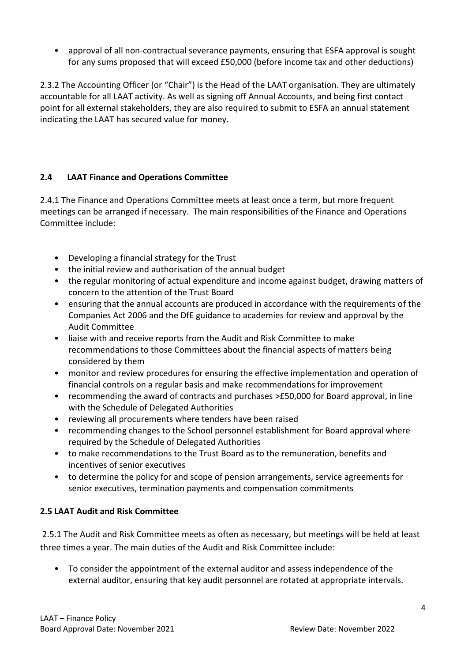• approval of all non-contractual severance payments, ensuring that ESFA approval is sought for any sums proposed that will exceed £50,000 (before income tax and other deductions)

2.3.2 The Accounting Officer (or "Chair") is the Head of the LAAT organisation. They are ultimately accountable for all LAAT activity. As well as signing off Annual Accounts, and being first contact point for all external stakeholders, they are also required to submit to ESFA an annual statement indicating the LAAT has secured value for money.

## **2.4 LAAT Finance and Operations Committee**

2.4.1 The Finance and Operations Committee meets at least once a term, but more frequent meetings can be arranged if necessary. The main responsibilities of the Finance and Operations Committee include:

- Developing a financial strategy for the Trust
- the initial review and authorisation of the annual budget
- the regular monitoring of actual expenditure and income against budget, drawing matters of concern to the attention of the Trust Board
- ensuring that the annual accounts are produced in accordance with the requirements of the Companies Act 2006 and the DfE guidance to academies for review and approval by the Audit Committee
- liaise with and receive reports from the Audit and Risk Committee to make recommendations to those Committees about the financial aspects of matters being considered by them
- monitor and review procedures for ensuring the effective implementation and operation of financial controls on a regular basis and make recommendations for improvement
- recommending the award of contracts and purchases >£50,000 for Board approval, in line with the Schedule of Delegated Authorities
- reviewing all procurements where tenders have been raised
- recommending changes to the School personnel establishment for Board approval where required by the Schedule of Delegated Authorities
- to make recommendations to the Trust Board as to the remuneration, benefits and incentives of senior executives
- to determine the policy for and scope of pension arrangements, service agreements for senior executives, termination payments and compensation commitments

#### **2.5 LAAT Audit and Risk Committee**

2.5.1 The Audit and Risk Committee meets as often as necessary, but meetings will be held at least three times a year. The main duties of the Audit and Risk Committee include:

• To consider the appointment of the external auditor and assess independence of the external auditor, ensuring that key audit personnel are rotated at appropriate intervals.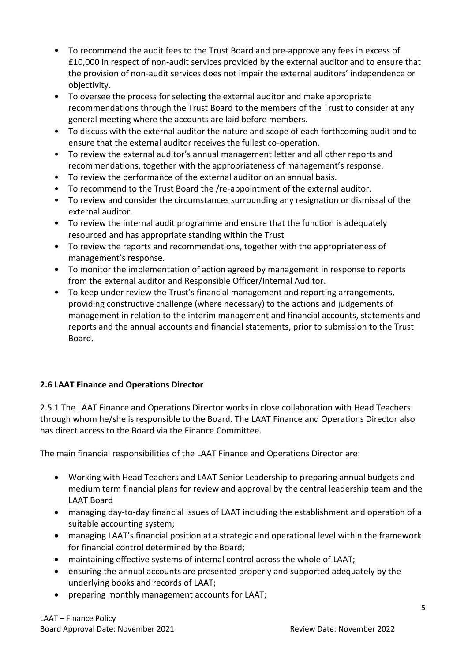- To recommend the audit fees to the Trust Board and pre-approve any fees in excess of £10,000 in respect of non-audit services provided by the external auditor and to ensure that the provision of non-audit services does not impair the external auditors' independence or objectivity.
- To oversee the process for selecting the external auditor and make appropriate recommendations through the Trust Board to the members of the Trust to consider at any general meeting where the accounts are laid before members.
- To discuss with the external auditor the nature and scope of each forthcoming audit and to ensure that the external auditor receives the fullest co-operation.
- To review the external auditor's annual management letter and all other reports and recommendations, together with the appropriateness of management's response.
- To review the performance of the external auditor on an annual basis.
- To recommend to the Trust Board the /re-appointment of the external auditor.
- To review and consider the circumstances surrounding any resignation or dismissal of the external auditor.
- To review the internal audit programme and ensure that the function is adequately resourced and has appropriate standing within the Trust
- To review the reports and recommendations, together with the appropriateness of management's response.
- To monitor the implementation of action agreed by management in response to reports from the external auditor and Responsible Officer/Internal Auditor.
- To keep under review the Trust's financial management and reporting arrangements, providing constructive challenge (where necessary) to the actions and judgements of management in relation to the interim management and financial accounts, statements and reports and the annual accounts and financial statements, prior to submission to the Trust Board.

## **2.6 LAAT Finance and Operations Director**

2.5.1 The LAAT Finance and Operations Director works in close collaboration with Head Teachers through whom he/she is responsible to the Board. The LAAT Finance and Operations Director also has direct access to the Board via the Finance Committee.

The main financial responsibilities of the LAAT Finance and Operations Director are:

- Working with Head Teachers and LAAT Senior Leadership to preparing annual budgets and medium term financial plans for review and approval by the central leadership team and the LAAT Board
- managing day-to-day financial issues of LAAT including the establishment and operation of a suitable accounting system;
- managing LAAT's financial position at a strategic and operational level within the framework for financial control determined by the Board;
- maintaining effective systems of internal control across the whole of LAAT;
- ensuring the annual accounts are presented properly and supported adequately by the underlying books and records of LAAT;
- preparing monthly management accounts for LAAT;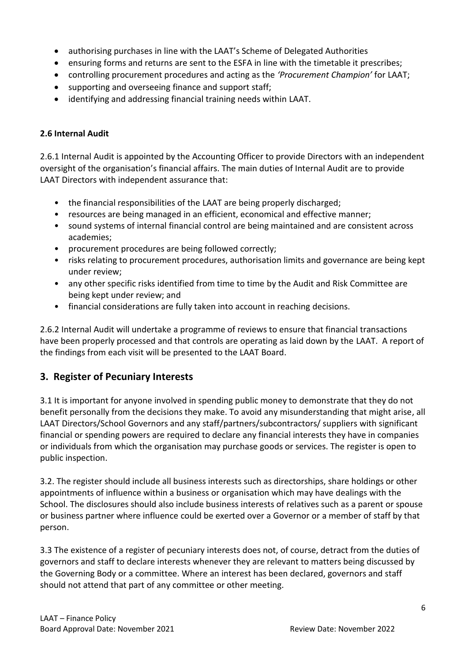- authorising purchases in line with the LAAT's Scheme of Delegated Authorities
- ensuring forms and returns are sent to the ESFA in line with the timetable it prescribes;
- controlling procurement procedures and acting as the *'Procurement Champion'* for LAAT;
- supporting and overseeing finance and support staff;
- identifying and addressing financial training needs within LAAT.

#### **2.6 Internal Audit**

2.6.1 Internal Audit is appointed by the Accounting Officer to provide Directors with an independent oversight of the organisation's financial affairs. The main duties of Internal Audit are to provide LAAT Directors with independent assurance that:

- the financial responsibilities of the LAAT are being properly discharged;
- resources are being managed in an efficient, economical and effective manner;
- sound systems of internal financial control are being maintained and are consistent across academies;
- procurement procedures are being followed correctly;
- risks relating to procurement procedures, authorisation limits and governance are being kept under review;
- any other specific risks identified from time to time by the Audit and Risk Committee are being kept under review; and
- financial considerations are fully taken into account in reaching decisions.

2.6.2 Internal Audit will undertake a programme of reviews to ensure that financial transactions have been properly processed and that controls are operating as laid down by the LAAT. A report of the findings from each visit will be presented to the LAAT Board.

## **3. Register of Pecuniary Interests**

3.1 It is important for anyone involved in spending public money to demonstrate that they do not benefit personally from the decisions they make. To avoid any misunderstanding that might arise, all LAAT Directors/School Governors and any staff/partners/subcontractors/ suppliers with significant financial or spending powers are required to declare any financial interests they have in companies or individuals from which the organisation may purchase goods or services. The register is open to public inspection.

3.2. The register should include all business interests such as directorships, share holdings or other appointments of influence within a business or organisation which may have dealings with the School. The disclosures should also include business interests of relatives such as a parent or spouse or business partner where influence could be exerted over a Governor or a member of staff by that person.

3.3 The existence of a register of pecuniary interests does not, of course, detract from the duties of governors and staff to declare interests whenever they are relevant to matters being discussed by the Governing Body or a committee. Where an interest has been declared, governors and staff should not attend that part of any committee or other meeting.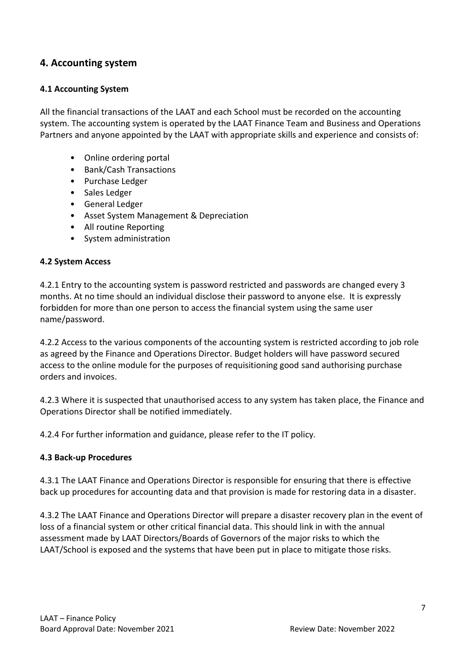## **4. Accounting system**

#### **4.1 Accounting System**

All the financial transactions of the LAAT and each School must be recorded on the accounting system. The accounting system is operated by the LAAT Finance Team and Business and Operations Partners and anyone appointed by the LAAT with appropriate skills and experience and consists of:

- Online ordering portal
- Bank/Cash Transactions
- Purchase Ledger
- Sales Ledger
- General Ledger
- Asset System Management & Depreciation
- All routine Reporting
- System administration

#### **4.2 System Access**

4.2.1 Entry to the accounting system is password restricted and passwords are changed every 3 months. At no time should an individual disclose their password to anyone else. It is expressly forbidden for more than one person to access the financial system using the same user name/password.

4.2.2 Access to the various components of the accounting system is restricted according to job role as agreed by the Finance and Operations Director. Budget holders will have password secured access to the online module for the purposes of requisitioning good sand authorising purchase orders and invoices.

4.2.3 Where it is suspected that unauthorised access to any system has taken place, the Finance and Operations Director shall be notified immediately.

4.2.4 For further information and guidance, please refer to the IT policy.

#### **4.3 Back-up Procedures**

4.3.1 The LAAT Finance and Operations Director is responsible for ensuring that there is effective back up procedures for accounting data and that provision is made for restoring data in a disaster.

4.3.2 The LAAT Finance and Operations Director will prepare a disaster recovery plan in the event of loss of a financial system or other critical financial data. This should link in with the annual assessment made by LAAT Directors/Boards of Governors of the major risks to which the LAAT/School is exposed and the systems that have been put in place to mitigate those risks.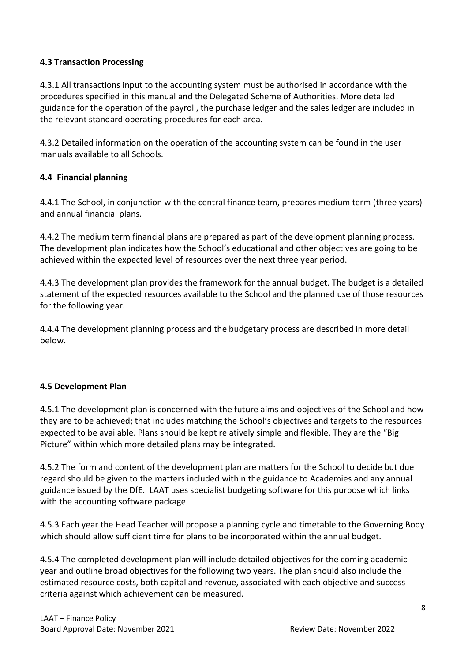#### **4.3 Transaction Processing**

4.3.1 All transactions input to the accounting system must be authorised in accordance with the procedures specified in this manual and the Delegated Scheme of Authorities. More detailed guidance for the operation of the payroll, the purchase ledger and the sales ledger are included in the relevant standard operating procedures for each area.

4.3.2 Detailed information on the operation of the accounting system can be found in the user manuals available to all Schools.

#### **4.4 Financial planning**

4.4.1 The School, in conjunction with the central finance team, prepares medium term (three years) and annual financial plans.

4.4.2 The medium term financial plans are prepared as part of the development planning process. The development plan indicates how the School's educational and other objectives are going to be achieved within the expected level of resources over the next three year period.

4.4.3 The development plan provides the framework for the annual budget. The budget is a detailed statement of the expected resources available to the School and the planned use of those resources for the following year.

4.4.4 The development planning process and the budgetary process are described in more detail below.

#### **4.5 Development Plan**

4.5.1 The development plan is concerned with the future aims and objectives of the School and how they are to be achieved; that includes matching the School's objectives and targets to the resources expected to be available. Plans should be kept relatively simple and flexible. They are the "Big Picture" within which more detailed plans may be integrated.

4.5.2 The form and content of the development plan are matters for the School to decide but due regard should be given to the matters included within the guidance to Academies and any annual guidance issued by the DfE. LAAT uses specialist budgeting software for this purpose which links with the accounting software package.

4.5.3 Each year the Head Teacher will propose a planning cycle and timetable to the Governing Body which should allow sufficient time for plans to be incorporated within the annual budget.

4.5.4 The completed development plan will include detailed objectives for the coming academic year and outline broad objectives for the following two years. The plan should also include the estimated resource costs, both capital and revenue, associated with each objective and success criteria against which achievement can be measured.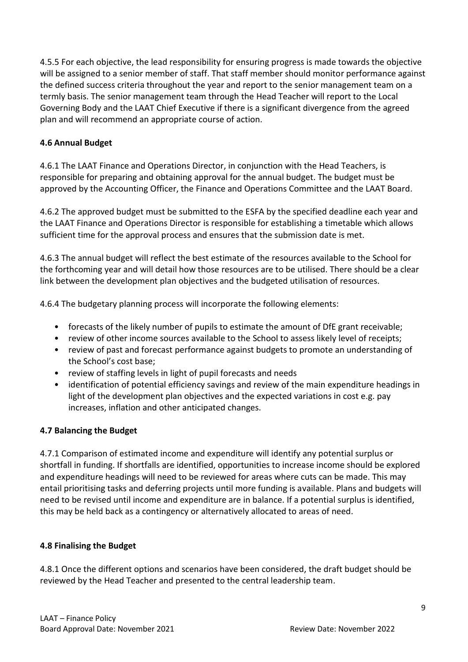4.5.5 For each objective, the lead responsibility for ensuring progress is made towards the objective will be assigned to a senior member of staff. That staff member should monitor performance against the defined success criteria throughout the year and report to the senior management team on a termly basis. The senior management team through the Head Teacher will report to the Local Governing Body and the LAAT Chief Executive if there is a significant divergence from the agreed plan and will recommend an appropriate course of action.

#### **4.6 Annual Budget**

4.6.1 The LAAT Finance and Operations Director, in conjunction with the Head Teachers, is responsible for preparing and obtaining approval for the annual budget. The budget must be approved by the Accounting Officer, the Finance and Operations Committee and the LAAT Board.

4.6.2 The approved budget must be submitted to the ESFA by the specified deadline each year and the LAAT Finance and Operations Director is responsible for establishing a timetable which allows sufficient time for the approval process and ensures that the submission date is met.

4.6.3 The annual budget will reflect the best estimate of the resources available to the School for the forthcoming year and will detail how those resources are to be utilised. There should be a clear link between the development plan objectives and the budgeted utilisation of resources.

4.6.4 The budgetary planning process will incorporate the following elements:

- forecasts of the likely number of pupils to estimate the amount of DfE grant receivable;
- review of other income sources available to the School to assess likely level of receipts;
- review of past and forecast performance against budgets to promote an understanding of the School's cost base;
- review of staffing levels in light of pupil forecasts and needs
- identification of potential efficiency savings and review of the main expenditure headings in light of the development plan objectives and the expected variations in cost e.g. pay increases, inflation and other anticipated changes.

#### **4.7 Balancing the Budget**

4.7.1 Comparison of estimated income and expenditure will identify any potential surplus or shortfall in funding. If shortfalls are identified, opportunities to increase income should be explored and expenditure headings will need to be reviewed for areas where cuts can be made. This may entail prioritising tasks and deferring projects until more funding is available. Plans and budgets will need to be revised until income and expenditure are in balance. If a potential surplus is identified, this may be held back as a contingency or alternatively allocated to areas of need.

#### **4.8 Finalising the Budget**

4.8.1 Once the different options and scenarios have been considered, the draft budget should be reviewed by the Head Teacher and presented to the central leadership team.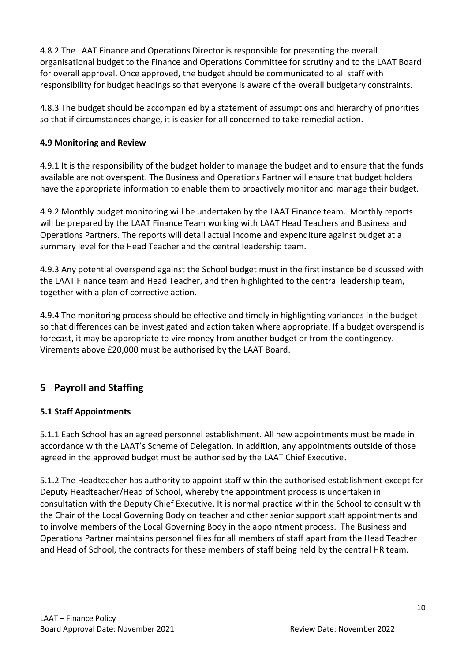4.8.2 The LAAT Finance and Operations Director is responsible for presenting the overall organisational budget to the Finance and Operations Committee for scrutiny and to the LAAT Board for overall approval. Once approved, the budget should be communicated to all staff with responsibility for budget headings so that everyone is aware of the overall budgetary constraints.

4.8.3 The budget should be accompanied by a statement of assumptions and hierarchy of priorities so that if circumstances change, it is easier for all concerned to take remedial action.

#### **4.9 Monitoring and Review**

4.9.1 It is the responsibility of the budget holder to manage the budget and to ensure that the funds available are not overspent. The Business and Operations Partner will ensure that budget holders have the appropriate information to enable them to proactively monitor and manage their budget.

4.9.2 Monthly budget monitoring will be undertaken by the LAAT Finance team. Monthly reports will be prepared by the LAAT Finance Team working with LAAT Head Teachers and Business and Operations Partners. The reports will detail actual income and expenditure against budget at a summary level for the Head Teacher and the central leadership team.

4.9.3 Any potential overspend against the School budget must in the first instance be discussed with the LAAT Finance team and Head Teacher, and then highlighted to the central leadership team, together with a plan of corrective action.

4.9.4 The monitoring process should be effective and timely in highlighting variances in the budget so that differences can be investigated and action taken where appropriate. If a budget overspend is forecast, it may be appropriate to vire money from another budget or from the contingency. Virements above £20,000 must be authorised by the LAAT Board.

## **5 Payroll and Staffing**

## **5.1 Staff Appointments**

5.1.1 Each School has an agreed personnel establishment. All new appointments must be made in accordance with the LAAT's Scheme of Delegation. In addition, any appointments outside of those agreed in the approved budget must be authorised by the LAAT Chief Executive.

5.1.2 The Headteacher has authority to appoint staff within the authorised establishment except for Deputy Headteacher/Head of School, whereby the appointment process is undertaken in consultation with the Deputy Chief Executive. It is normal practice within the School to consult with the Chair of the Local Governing Body on teacher and other senior support staff appointments and to involve members of the Local Governing Body in the appointment process. The Business and Operations Partner maintains personnel files for all members of staff apart from the Head Teacher and Head of School, the contracts for these members of staff being held by the central HR team.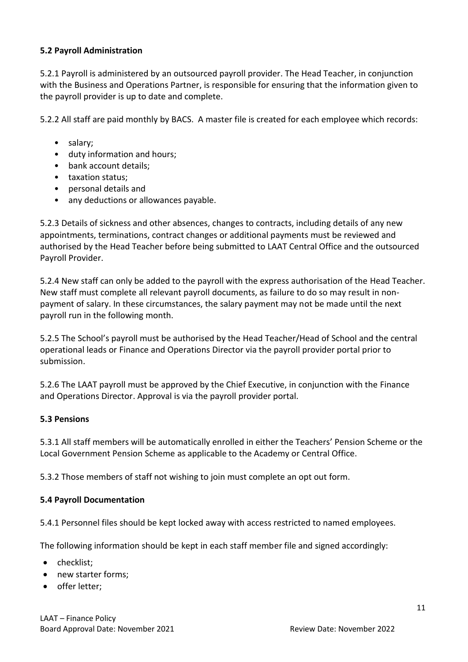#### **5.2 Payroll Administration**

5.2.1 Payroll is administered by an outsourced payroll provider. The Head Teacher, in conjunction with the Business and Operations Partner, is responsible for ensuring that the information given to the payroll provider is up to date and complete.

5.2.2 All staff are paid monthly by BACS. A master file is created for each employee which records:

- salary;
- duty information and hours;
- bank account details;
- taxation status;
- personal details and
- any deductions or allowances payable.

5.2.3 Details of sickness and other absences, changes to contracts, including details of any new appointments, terminations, contract changes or additional payments must be reviewed and authorised by the Head Teacher before being submitted to LAAT Central Office and the outsourced Payroll Provider.

5.2.4 New staff can only be added to the payroll with the express authorisation of the Head Teacher. New staff must complete all relevant payroll documents, as failure to do so may result in nonpayment of salary. In these circumstances, the salary payment may not be made until the next payroll run in the following month.

5.2.5 The School's payroll must be authorised by the Head Teacher/Head of School and the central operational leads or Finance and Operations Director via the payroll provider portal prior to submission.

5.2.6 The LAAT payroll must be approved by the Chief Executive, in conjunction with the Finance and Operations Director. Approval is via the payroll provider portal.

#### **5.3 Pensions**

5.3.1 All staff members will be automatically enrolled in either the Teachers' Pension Scheme or the Local Government Pension Scheme as applicable to the Academy or Central Office.

5.3.2 Those members of staff not wishing to join must complete an opt out form.

#### **5.4 Payroll Documentation**

5.4.1 Personnel files should be kept locked away with access restricted to named employees.

The following information should be kept in each staff member file and signed accordingly:

- checklist:
- new starter forms;
- offer letter;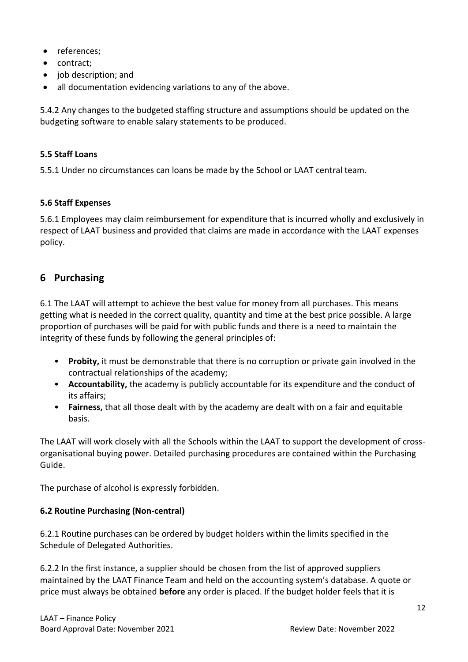- references:
- contract;
- job description; and
- all documentation evidencing variations to any of the above.

5.4.2 Any changes to the budgeted staffing structure and assumptions should be updated on the budgeting software to enable salary statements to be produced.

#### **5.5 Staff Loans**

5.5.1 Under no circumstances can loans be made by the School or LAAT central team.

#### **5.6 Staff Expenses**

5.6.1 Employees may claim reimbursement for expenditure that is incurred wholly and exclusively in respect of LAAT business and provided that claims are made in accordance with the LAAT expenses policy.

## **6 Purchasing**

6.1 The LAAT will attempt to achieve the best value for money from all purchases. This means getting what is needed in the correct quality, quantity and time at the best price possible. A large proportion of purchases will be paid for with public funds and there is a need to maintain the integrity of these funds by following the general principles of:

- **Probity,** it must be demonstrable that there is no corruption or private gain involved in the contractual relationships of the academy;
- **Accountability,** the academy is publicly accountable for its expenditure and the conduct of its affairs;
- **Fairness,** that all those dealt with by the academy are dealt with on a fair and equitable basis.

The LAAT will work closely with all the Schools within the LAAT to support the development of crossorganisational buying power. Detailed purchasing procedures are contained within the Purchasing Guide.

The purchase of alcohol is expressly forbidden.

## **6.2 Routine Purchasing (Non-central)**

6.2.1 Routine purchases can be ordered by budget holders within the limits specified in the Schedule of Delegated Authorities.

6.2.2 In the first instance, a supplier should be chosen from the list of approved suppliers maintained by the LAAT Finance Team and held on the accounting system's database. A quote or price must always be obtained **before** any order is placed. If the budget holder feels that it is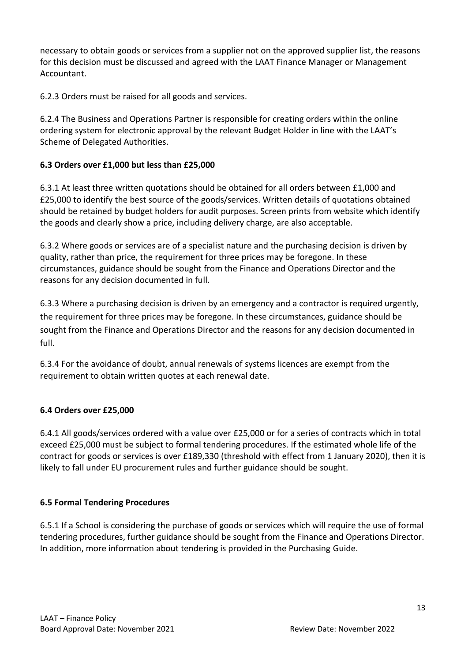necessary to obtain goods or services from a supplier not on the approved supplier list, the reasons for this decision must be discussed and agreed with the LAAT Finance Manager or Management Accountant.

6.2.3 Orders must be raised for all goods and services.

6.2.4 The Business and Operations Partner is responsible for creating orders within the online ordering system for electronic approval by the relevant Budget Holder in line with the LAAT's Scheme of Delegated Authorities.

#### **6.3 Orders over £1,000 but less than £25,000**

6.3.1 At least three written quotations should be obtained for all orders between £1,000 and £25,000 to identify the best source of the goods/services. Written details of quotations obtained should be retained by budget holders for audit purposes. Screen prints from website which identify the goods and clearly show a price, including delivery charge, are also acceptable.

6.3.2 Where goods or services are of a specialist nature and the purchasing decision is driven by quality, rather than price, the requirement for three prices may be foregone. In these circumstances, guidance should be sought from the Finance and Operations Director and the reasons for any decision documented in full.

6.3.3 Where a purchasing decision is driven by an emergency and a contractor is required urgently, the requirement for three prices may be foregone. In these circumstances, guidance should be sought from the Finance and Operations Director and the reasons for any decision documented in full.

6.3.4 For the avoidance of doubt, annual renewals of systems licences are exempt from the requirement to obtain written quotes at each renewal date.

#### **6.4 Orders over £25,000**

6.4.1 All goods/services ordered with a value over £25,000 or for a series of contracts which in total exceed £25,000 must be subject to formal tendering procedures. If the estimated whole life of the contract for goods or services is over £189,330 (threshold with effect from 1 January 2020), then it is likely to fall under EU procurement rules and further guidance should be sought.

#### **6.5 Formal Tendering Procedures**

6.5.1 If a School is considering the purchase of goods or services which will require the use of formal tendering procedures, further guidance should be sought from the Finance and Operations Director. In addition, more information about tendering is provided in the Purchasing Guide.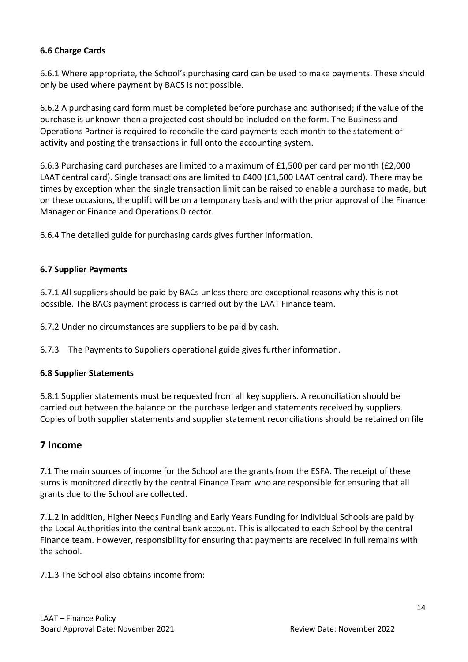#### **6.6 Charge Cards**

6.6.1 Where appropriate, the School's purchasing card can be used to make payments. These should only be used where payment by BACS is not possible.

6.6.2 A purchasing card form must be completed before purchase and authorised; if the value of the purchase is unknown then a projected cost should be included on the form. The Business and Operations Partner is required to reconcile the card payments each month to the statement of activity and posting the transactions in full onto the accounting system.

6.6.3 Purchasing card purchases are limited to a maximum of £1,500 per card per month (£2,000 LAAT central card). Single transactions are limited to £400 (£1,500 LAAT central card). There may be times by exception when the single transaction limit can be raised to enable a purchase to made, but on these occasions, the uplift will be on a temporary basis and with the prior approval of the Finance Manager or Finance and Operations Director.

6.6.4 The detailed guide for purchasing cards gives further information.

#### **6.7 Supplier Payments**

6.7.1 All suppliers should be paid by BACs unless there are exceptional reasons why this is not possible. The BACs payment process is carried out by the LAAT Finance team.

6.7.2 Under no circumstances are suppliers to be paid by cash.

6.7.3 The Payments to Suppliers operational guide gives further information.

#### **6.8 Supplier Statements**

6.8.1 Supplier statements must be requested from all key suppliers. A reconciliation should be carried out between the balance on the purchase ledger and statements received by suppliers. Copies of both supplier statements and supplier statement reconciliations should be retained on file

## **7 Income**

7.1 The main sources of income for the School are the grants from the ESFA. The receipt of these sums is monitored directly by the central Finance Team who are responsible for ensuring that all grants due to the School are collected.

7.1.2 In addition, Higher Needs Funding and Early Years Funding for individual Schools are paid by the Local Authorities into the central bank account. This is allocated to each School by the central Finance team. However, responsibility for ensuring that payments are received in full remains with the school.

7.1.3 The School also obtains income from: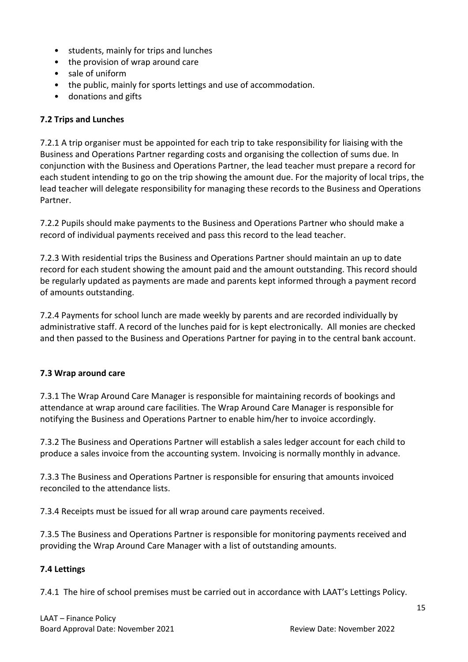- students, mainly for trips and lunches
- the provision of wrap around care
- sale of uniform
- the public, mainly for sports lettings and use of accommodation.
- donations and gifts

#### **7.2 Trips and Lunches**

7.2.1 A trip organiser must be appointed for each trip to take responsibility for liaising with the Business and Operations Partner regarding costs and organising the collection of sums due. In conjunction with the Business and Operations Partner, the lead teacher must prepare a record for each student intending to go on the trip showing the amount due. For the majority of local trips, the lead teacher will delegate responsibility for managing these records to the Business and Operations Partner.

7.2.2 Pupils should make payments to the Business and Operations Partner who should make a record of individual payments received and pass this record to the lead teacher.

7.2.3 With residential trips the Business and Operations Partner should maintain an up to date record for each student showing the amount paid and the amount outstanding. This record should be regularly updated as payments are made and parents kept informed through a payment record of amounts outstanding.

7.2.4 Payments for school lunch are made weekly by parents and are recorded individually by administrative staff. A record of the lunches paid for is kept electronically. All monies are checked and then passed to the Business and Operations Partner for paying in to the central bank account.

#### **7.3 Wrap around care**

7.3.1 The Wrap Around Care Manager is responsible for maintaining records of bookings and attendance at wrap around care facilities. The Wrap Around Care Manager is responsible for notifying the Business and Operations Partner to enable him/her to invoice accordingly.

7.3.2 The Business and Operations Partner will establish a sales ledger account for each child to produce a sales invoice from the accounting system. Invoicing is normally monthly in advance.

7.3.3 The Business and Operations Partner is responsible for ensuring that amounts invoiced reconciled to the attendance lists.

7.3.4 Receipts must be issued for all wrap around care payments received.

7.3.5 The Business and Operations Partner is responsible for monitoring payments received and providing the Wrap Around Care Manager with a list of outstanding amounts.

#### **7.4 Lettings**

7.4.1 The hire of school premises must be carried out in accordance with LAAT's Lettings Policy.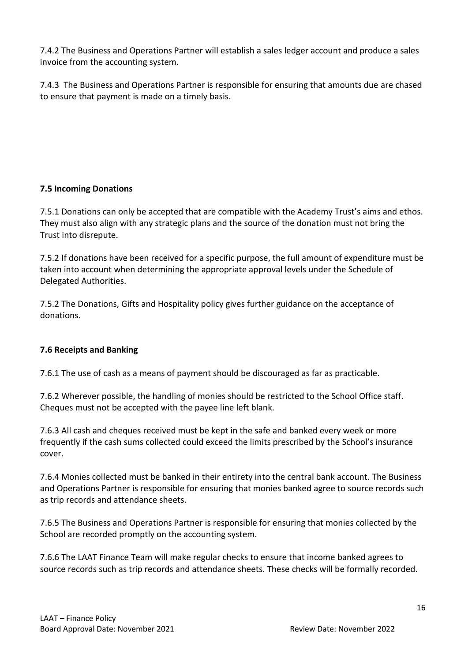7.4.2 The Business and Operations Partner will establish a sales ledger account and produce a sales invoice from the accounting system.

7.4.3 The Business and Operations Partner is responsible for ensuring that amounts due are chased to ensure that payment is made on a timely basis.

## **7.5 Incoming Donations**

7.5.1 Donations can only be accepted that are compatible with the Academy Trust's aims and ethos. They must also align with any strategic plans and the source of the donation must not bring the Trust into disrepute.

7.5.2 If donations have been received for a specific purpose, the full amount of expenditure must be taken into account when determining the appropriate approval levels under the Schedule of Delegated Authorities.

7.5.2 The Donations, Gifts and Hospitality policy gives further guidance on the acceptance of donations.

## **7.6 Receipts and Banking**

7.6.1 The use of cash as a means of payment should be discouraged as far as practicable.

7.6.2 Wherever possible, the handling of monies should be restricted to the School Office staff. Cheques must not be accepted with the payee line left blank.

7.6.3 All cash and cheques received must be kept in the safe and banked every week or more frequently if the cash sums collected could exceed the limits prescribed by the School's insurance cover.

7.6.4 Monies collected must be banked in their entirety into the central bank account. The Business and Operations Partner is responsible for ensuring that monies banked agree to source records such as trip records and attendance sheets.

7.6.5 The Business and Operations Partner is responsible for ensuring that monies collected by the School are recorded promptly on the accounting system.

7.6.6 The LAAT Finance Team will make regular checks to ensure that income banked agrees to source records such as trip records and attendance sheets. These checks will be formally recorded.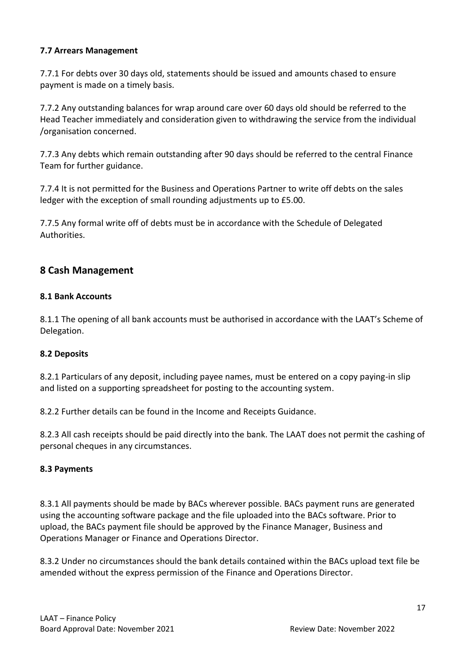#### **7.7 Arrears Management**

7.7.1 For debts over 30 days old, statements should be issued and amounts chased to ensure payment is made on a timely basis.

7.7.2 Any outstanding balances for wrap around care over 60 days old should be referred to the Head Teacher immediately and consideration given to withdrawing the service from the individual /organisation concerned.

7.7.3 Any debts which remain outstanding after 90 days should be referred to the central Finance Team for further guidance.

7.7.4 It is not permitted for the Business and Operations Partner to write off debts on the sales ledger with the exception of small rounding adjustments up to £5.00.

7.7.5 Any formal write off of debts must be in accordance with the Schedule of Delegated Authorities.

## **8 Cash Management**

#### **8.1 Bank Accounts**

8.1.1 The opening of all bank accounts must be authorised in accordance with the LAAT's Scheme of Delegation.

#### **8.2 Deposits**

8.2.1 Particulars of any deposit, including payee names, must be entered on a copy paying-in slip and listed on a supporting spreadsheet for posting to the accounting system.

8.2.2 Further details can be found in the Income and Receipts Guidance.

8.2.3 All cash receipts should be paid directly into the bank. The LAAT does not permit the cashing of personal cheques in any circumstances.

#### **8.3 Payments**

8.3.1 All payments should be made by BACs wherever possible. BACs payment runs are generated using the accounting software package and the file uploaded into the BACs software. Prior to upload, the BACs payment file should be approved by the Finance Manager, Business and Operations Manager or Finance and Operations Director.

8.3.2 Under no circumstances should the bank details contained within the BACs upload text file be amended without the express permission of the Finance and Operations Director.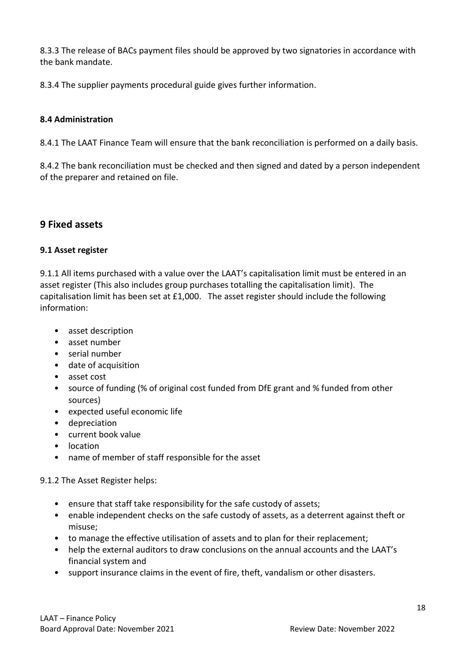8.3.3 The release of BACs payment files should be approved by two signatories in accordance with the bank mandate.

8.3.4 The supplier payments procedural guide gives further information.

#### **8.4 Administration**

8.4.1 The LAAT Finance Team will ensure that the bank reconciliation is performed on a daily basis.

8.4.2 The bank reconciliation must be checked and then signed and dated by a person independent of the preparer and retained on file.

## **9 Fixed assets**

#### **9.1 Asset register**

9.1.1 All items purchased with a value over the LAAT's capitalisation limit must be entered in an asset register (This also includes group purchases totalling the capitalisation limit). The capitalisation limit has been set at £1,000. The asset register should include the following information:

- asset description
- asset number
- serial number
- date of acquisition
- asset cost
- source of funding (% of original cost funded from DfE grant and % funded from other sources)
- expected useful economic life
- depreciation
- current book value
- location
- name of member of staff responsible for the asset

## 9.1.2 The Asset Register helps:

- ensure that staff take responsibility for the safe custody of assets;
- enable independent checks on the safe custody of assets, as a deterrent against theft or misuse;
- to manage the effective utilisation of assets and to plan for their replacement;
- help the external auditors to draw conclusions on the annual accounts and the LAAT's financial system and
- support insurance claims in the event of fire, theft, vandalism or other disasters.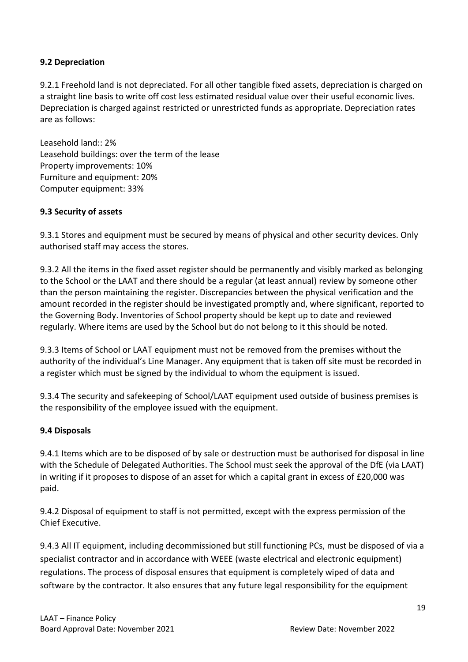#### **9.2 Depreciation**

9.2.1 Freehold land is not depreciated. For all other tangible fixed assets, depreciation is charged on a straight line basis to write off cost less estimated residual value over their useful economic lives. Depreciation is charged against restricted or unrestricted funds as appropriate. Depreciation rates are as follows:

Leasehold land:: 2% Leasehold buildings: over the term of the lease Property improvements: 10% Furniture and equipment: 20% Computer equipment: 33%

#### **9.3 Security of assets**

9.3.1 Stores and equipment must be secured by means of physical and other security devices. Only authorised staff may access the stores.

9.3.2 All the items in the fixed asset register should be permanently and visibly marked as belonging to the School or the LAAT and there should be a regular (at least annual) review by someone other than the person maintaining the register. Discrepancies between the physical verification and the amount recorded in the register should be investigated promptly and, where significant, reported to the Governing Body. Inventories of School property should be kept up to date and reviewed regularly. Where items are used by the School but do not belong to it this should be noted.

9.3.3 Items of School or LAAT equipment must not be removed from the premises without the authority of the individual's Line Manager. Any equipment that is taken off site must be recorded in a register which must be signed by the individual to whom the equipment is issued.

9.3.4 The security and safekeeping of School/LAAT equipment used outside of business premises is the responsibility of the employee issued with the equipment.

#### **9.4 Disposals**

9.4.1 Items which are to be disposed of by sale or destruction must be authorised for disposal in line with the Schedule of Delegated Authorities. The School must seek the approval of the DfE (via LAAT) in writing if it proposes to dispose of an asset for which a capital grant in excess of £20,000 was paid.

9.4.2 Disposal of equipment to staff is not permitted, except with the express permission of the Chief Executive.

9.4.3 All IT equipment, including decommissioned but still functioning PCs, must be disposed of via a specialist contractor and in accordance with WEEE (waste electrical and electronic equipment) regulations. The process of disposal ensures that equipment is completely wiped of data and software by the contractor. It also ensures that any future legal responsibility for the equipment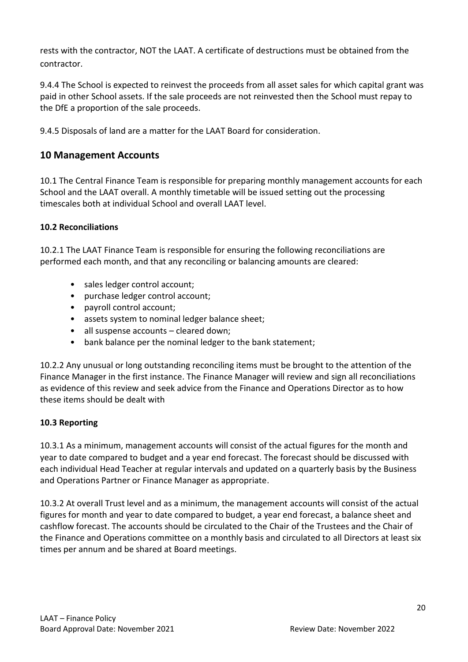rests with the contractor, NOT the LAAT. A certificate of destructions must be obtained from the contractor.

9.4.4 The School is expected to reinvest the proceeds from all asset sales for which capital grant was paid in other School assets. If the sale proceeds are not reinvested then the School must repay to the DfE a proportion of the sale proceeds.

9.4.5 Disposals of land are a matter for the LAAT Board for consideration.

## **10 Management Accounts**

10.1 The Central Finance Team is responsible for preparing monthly management accounts for each School and the LAAT overall. A monthly timetable will be issued setting out the processing timescales both at individual School and overall LAAT level.

## **10.2 Reconciliations**

10.2.1 The LAAT Finance Team is responsible for ensuring the following reconciliations are performed each month, and that any reconciling or balancing amounts are cleared:

- sales ledger control account;
- purchase ledger control account;
- payroll control account;
- assets system to nominal ledger balance sheet;
- all suspense accounts cleared down;
- bank balance per the nominal ledger to the bank statement;

10.2.2 Any unusual or long outstanding reconciling items must be brought to the attention of the Finance Manager in the first instance. The Finance Manager will review and sign all reconciliations as evidence of this review and seek advice from the Finance and Operations Director as to how these items should be dealt with

## **10.3 Reporting**

10.3.1 As a minimum, management accounts will consist of the actual figures for the month and year to date compared to budget and a year end forecast. The forecast should be discussed with each individual Head Teacher at regular intervals and updated on a quarterly basis by the Business and Operations Partner or Finance Manager as appropriate.

10.3.2 At overall Trust level and as a minimum, the management accounts will consist of the actual figures for month and year to date compared to budget, a year end forecast, a balance sheet and cashflow forecast. The accounts should be circulated to the Chair of the Trustees and the Chair of the Finance and Operations committee on a monthly basis and circulated to all Directors at least six times per annum and be shared at Board meetings.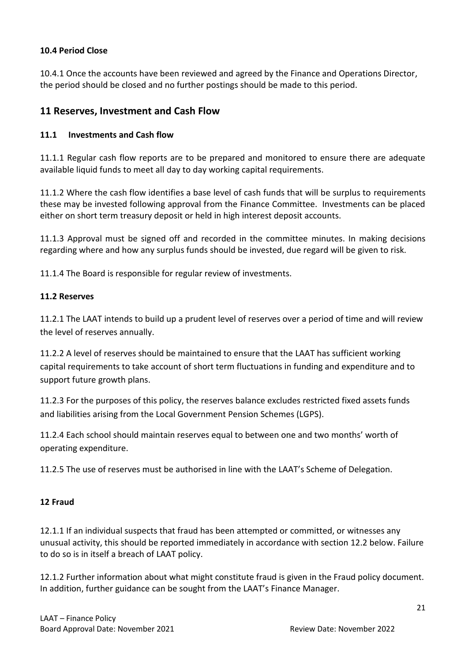#### **10.4 Period Close**

10.4.1 Once the accounts have been reviewed and agreed by the Finance and Operations Director, the period should be closed and no further postings should be made to this period.

## **11 Reserves, Investment and Cash Flow**

#### **11.1 Investments and Cash flow**

11.1.1 Regular cash flow reports are to be prepared and monitored to ensure there are adequate available liquid funds to meet all day to day working capital requirements.

11.1.2 Where the cash flow identifies a base level of cash funds that will be surplus to requirements these may be invested following approval from the Finance Committee. Investments can be placed either on short term treasury deposit or held in high interest deposit accounts.

11.1.3 Approval must be signed off and recorded in the committee minutes. In making decisions regarding where and how any surplus funds should be invested, due regard will be given to risk.

11.1.4 The Board is responsible for regular review of investments.

#### **11.2 Reserves**

11.2.1 The LAAT intends to build up a prudent level of reserves over a period of time and will review the level of reserves annually.

11.2.2 A level of reserves should be maintained to ensure that the LAAT has sufficient working capital requirements to take account of short term fluctuations in funding and expenditure and to support future growth plans.

11.2.3 For the purposes of this policy, the reserves balance excludes restricted fixed assets funds and liabilities arising from the Local Government Pension Schemes (LGPS).

11.2.4 Each school should maintain reserves equal to between one and two months' worth of operating expenditure.

11.2.5 The use of reserves must be authorised in line with the LAAT's Scheme of Delegation.

#### **12 Fraud**

12.1.1 If an individual suspects that fraud has been attempted or committed, or witnesses any unusual activity, this should be reported immediately in accordance with section 12.2 below. Failure to do so is in itself a breach of LAAT policy.

12.1.2 Further information about what might constitute fraud is given in the Fraud policy document. In addition, further guidance can be sought from the LAAT's Finance Manager.